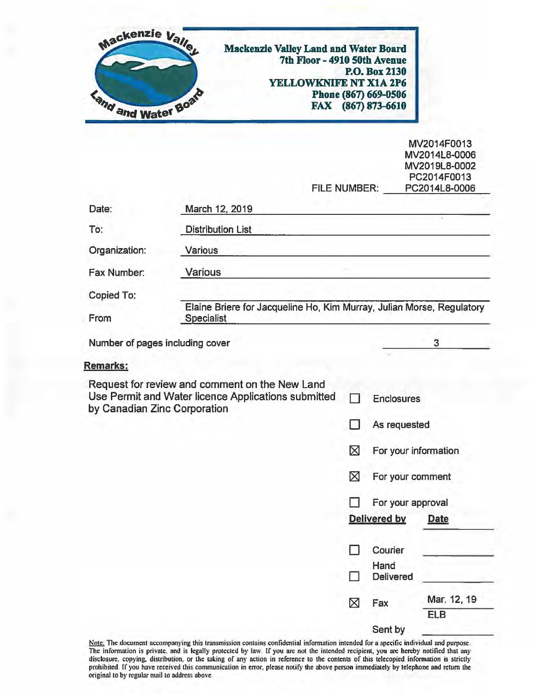| Mackenzie Valley<br><b>Kand and Water Board</b> | <b>Mackenzie Valley Land and Water Board</b><br>7th Floor - 4910 50th Avenue<br>YELLOWKNIFE NT X1A 2P6 |             | P.O. Box 2130<br>Phone (867) 669-0506<br>FAX (867) 873-6610 |                                                                               |
|-------------------------------------------------|--------------------------------------------------------------------------------------------------------|-------------|-------------------------------------------------------------|-------------------------------------------------------------------------------|
|                                                 | FILE NUMBER:                                                                                           |             |                                                             | MV2014F0013<br>MV2014L8-0006<br>MV2019L8-0002<br>PC2014F0013<br>PC2014L8-0006 |
| Date:                                           | March 12, 2019                                                                                         |             |                                                             |                                                                               |
| To:                                             | <b>Distribution List</b>                                                                               |             |                                                             |                                                                               |
| Organization:                                   | Various                                                                                                |             |                                                             |                                                                               |
| Fax Number:                                     | <b>Various</b>                                                                                         |             |                                                             |                                                                               |
| Copied To:                                      |                                                                                                        |             |                                                             |                                                                               |
| From                                            | Elaine Briere for Jacqueline Ho, Kim Murray, Julian Morse, Regulatory<br><b>Specialist</b>             |             |                                                             |                                                                               |
| Number of pages including cover                 |                                                                                                        |             |                                                             | 3                                                                             |
| <b>Remarks:</b>                                 |                                                                                                        |             |                                                             |                                                                               |
| by Canadian Zinc Corporation                    | Request for review and comment on the New Land<br>Use Permit and Water licence Applications submitted  |             | <b>Enclosures</b>                                           |                                                                               |
|                                                 |                                                                                                        |             | As requested                                                |                                                                               |
|                                                 |                                                                                                        | $\boxtimes$ | For your information                                        |                                                                               |
|                                                 |                                                                                                        | ⊠           | For your comment                                            |                                                                               |
|                                                 |                                                                                                        | П           | For your approval                                           |                                                                               |
|                                                 |                                                                                                        |             | Delivered by                                                | <b>Date</b>                                                                   |
|                                                 |                                                                                                        |             | Courier                                                     |                                                                               |
|                                                 |                                                                                                        |             | Hand<br>Delivered                                           |                                                                               |
|                                                 |                                                                                                        | ⊠           | Fax                                                         | Mar. 12, 19<br><b>ELB</b>                                                     |
|                                                 |                                                                                                        |             | Sent by                                                     |                                                                               |

Note: The document accompanying this transmission contains confidential information intended for a specific individual and purpose.<br>The information is private, and is legally protected by law. If you are not the intended r disclosure, copying. distribution, or the taking of any action in reference to the contents of this tclccopied information is strictly prohibited. If you have received this communication in error, please notify the above person immediately by telephone and return the original 10 by regular mail 10 address above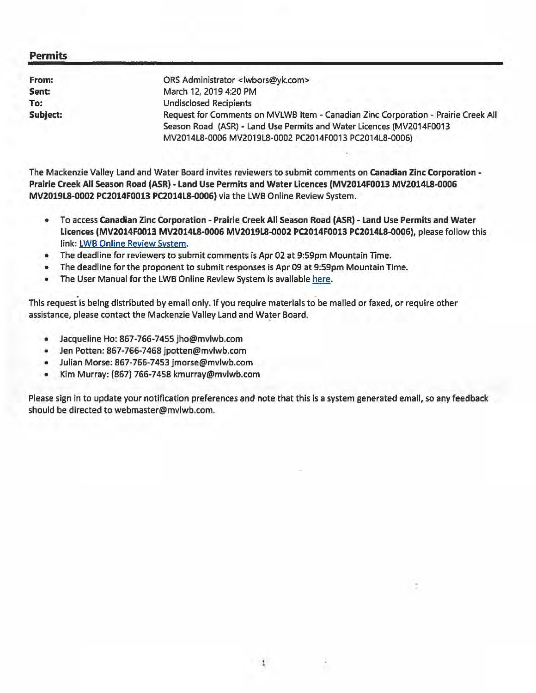#### **Permits**

| From:    | ORS Administrator <lwbors@yk.com></lwbors@yk.com>                                  |
|----------|------------------------------------------------------------------------------------|
| Sent:    | March 12, 2019 4:20 PM                                                             |
| To:      | <b>Undisclosed Recipients</b>                                                      |
| Subject: | Request for Comments on MVLWB Item - Canadian Zinc Corporation - Prairie Creek All |
|          | Season Road (ASR) - Land Use Permits and Water Licences (MV2014F0013               |
|          | MV2014L8-0006 MV2019L8-0002 PC2014F0013 PC2014L8-0006)                             |
|          |                                                                                    |

The Mackenzie Valley Land and Water Board invites reviewers to submit comments on **Canadian Zinc Corporation** - **Prairie Creek All Season Road (ASR)** - **Land Use Permits and Water licences (MV2014F0013 MV2014LS-0006 MV2019l8-0002 PC2014F0013 PC2014L8-0006)** via the LWB Online Review System.

- To access **Canadian** Zinc **Corporation Prairie Creek All Season Road (ASR) Land Use Permits and Water Licences (MV2014F0013 MV2014LS-0006 MV2019l8-0002 PC2014F0013 PC2014l8-0006),** please follow this link: LWB Online Review System.
- The deadline for reviewers to submit comments is Apr 02 at 9:59pm Mountain Time.
- The deadline for the proponent to submit responses is Apr 09 at 9:59pm Mountain Time.
- The User Manual for the LWB Online Review System is available here.

This request is being distributed by email only. If you require materials to be mailed or faxed, or require other assistance, please contact the Mackenzie Valley Land and Water Board.

- Jacqueline Ho: 867-766-7455 jho@mvlwb.com
- Jen Potten: 867-766-7468 jpotten@mvlwb.com
- Julian Morse: 867-766-7453 jmorse@mvlwb.com
- Kim Murray: (867) 766-7458 kmurray@mvlwb.com

Please sign in to update your notification preferences and note that this is a system generated email, so any feedback should be directed to webmaster@mvlwb.com.

1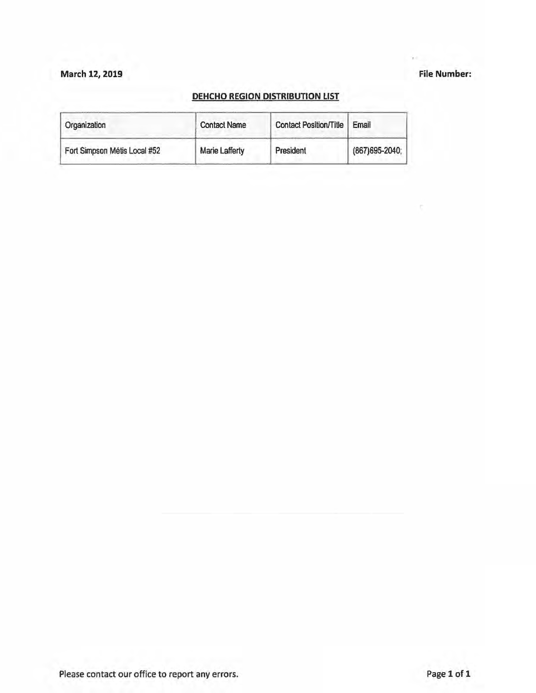### March 12, 2019 **File Number:**

#### **DEHCHO REGION DISTRIBUTION LIST**

| Organization                 | <b>Contact Name</b>   | Contact Position/Title | Email           |
|------------------------------|-----------------------|------------------------|-----------------|
| Fort Simpson Métis Local #52 | <b>Marie Lafferty</b> | President              | (867) 695-2040; |